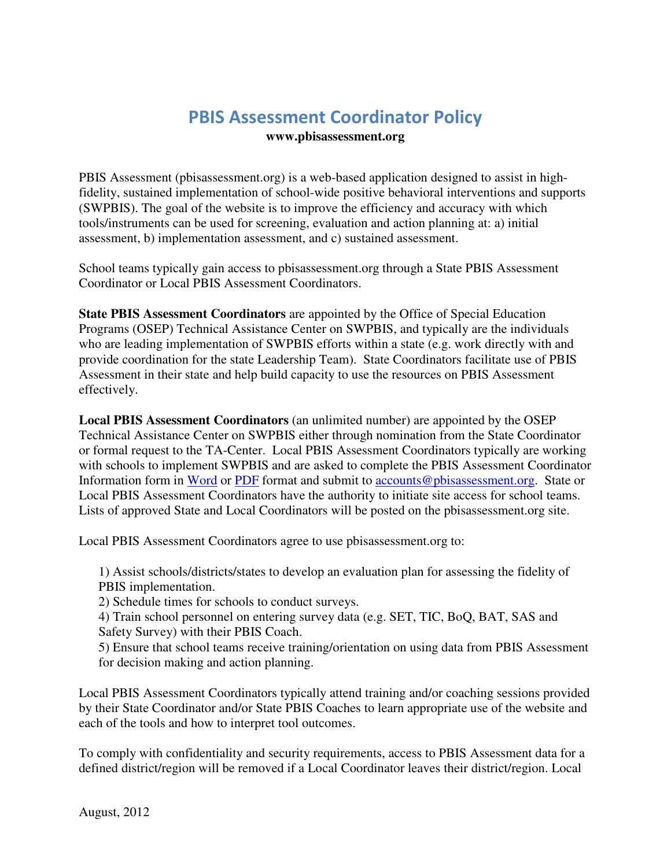## **PBIS Assessment Coordinator Policy**

**www.pbisassessment.org**

PBIS Assessment (pbisassessment.org) is a web-based application designed to assist in highfidelity, sustained implementation of school-wide positive behavioral interventions and supports (SWPBIS). The goal of the website is to improve the efficiency and accuracy with which tools/instruments can be used for screening, evaluation and action planning at: a) initial assessment, b) implementation assessment, and c) sustained assessment.

School teams typically gain access to pbisassessment.org through a State PBIS Assessment Coordinator or Local PBIS Assessment Coordinators.

**State PBIS Assessment Coordinators** are appointed by the Office of Special Education Programs (OSEP) Technical Assistance Center on SWPBIS, and typically are the individuals who are leading implementation of SWPBIS efforts within a state (e.g. work directly with and provide coordination for the state Leadership Team). State Coordinators facilitate use of PBIS Assessment in their state and help build capacity to use the resources on PBIS Assessment effectively.

**Local PBIS Assessment Coordinators** (an unlimited number) are appointed by the OSEP Technical Assistance Center on SWPBIS either through nomination from the State Coordinator or formal request to the TA-Center. Local PBIS Assessment Coordinators typically are working with schools to implement SWPBIS and are asked to complete the PBIS Assessment Coordinator Information form in [Word](https://www.pbisassessment.org/Content/Documents/en-US/LocalCoordinatorInformationFormPBISAssess.doc) or [PDF](https://www.pbisassessment.org/Content/Documents/en-US/LocalCoordinatorInformationFormPBISAssess.pdf) format and submit to [accounts@pbisassessment.org.](mailto:accounts@pbisassessment.org) State or Local PBIS Assessment Coordinators have the authority to initiate site access for school teams. Lists of approved State and Local Coordinators will be posted on the pbisassessment.org site.

Local PBIS Assessment Coordinators agree to use pbisassessment.org to:

1) Assist schools/districts/states to develop an evaluation plan for assessing the fidelity of PBIS implementation.

2) Schedule times for schools to conduct surveys.

4) Train school personnel on entering survey data (e.g. SET, TIC, BoQ, BAT, SAS and Safety Survey) with their PBIS Coach.

5) Ensure that school teams receive training/orientation on using data from PBIS Assessment for decision making and action planning.

Local PBIS Assessment Coordinators typically attend training and/or coaching sessions provided by their State Coordinator and/or State PBIS Coaches to learn appropriate use of the website and each of the tools and how to interpret tool outcomes.

To comply with confidentiality and security requirements, access to PBIS Assessment data for a defined district/region will be removed if a Local Coordinator leaves their district/region. Local